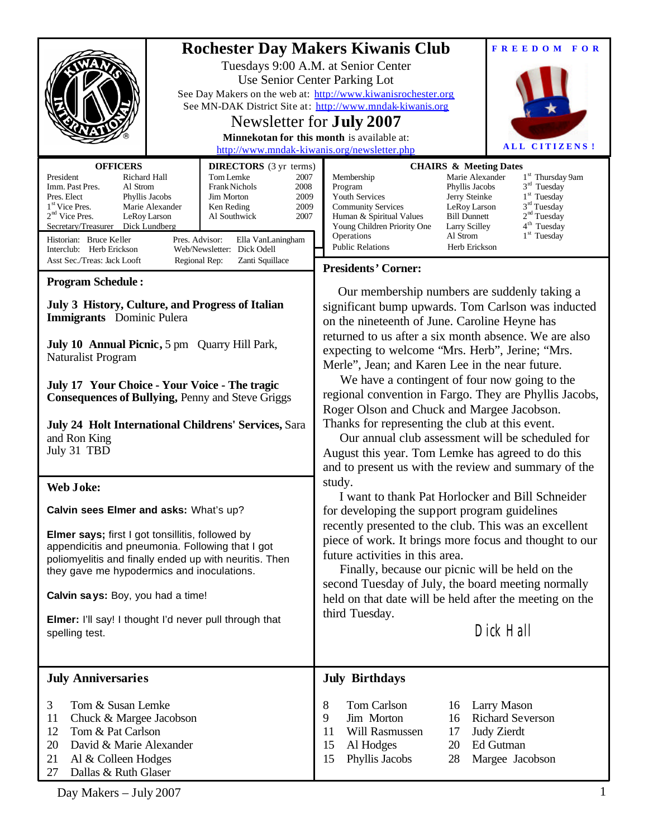| <b>OFFICERS</b><br><b>DIRECTORS</b> (3 yr terms)<br>President<br>Richard Hall<br>Tom Lemke<br>2007<br><b>Frank Nichols</b><br>Imm. Past Pres.<br>Al Strom<br>2008<br>Pres. Elect<br>Jim Morton<br>2009<br>Phyllis Jacobs<br>1 <sup>st</sup> Vice Pres.<br>Marie Alexander<br>2009<br>Ken Reding<br>$2nd$ Vice Pres.<br>2007<br>LeRoy Larson<br>Al Southwick<br>Secretary/Treasurer<br>Dick Lundberg | <b>Rochester Day Makers Kiwanis Club</b><br><b>FREEDOM FOR</b><br>Tuesdays 9:00 A.M. at Senior Center<br>Use Senior Center Parking Lot<br>See Day Makers on the web at: http://www.kiwanisrochester.org<br>See MN-DAK District Site at: http://www.mndak-kiwanis.org<br>Newsletter for <b>July 2007</b><br>Minnekotan for this month is available at:<br>ALL CITIZENS!<br>http://www.mndak-kiwanis.org/newsletter.php<br><b>CHAIRS &amp; Meeting Dates</b><br>1 <sup>st</sup> Thursday 9am<br>Marie Alexander<br>Membership<br>$3rd$ Tuesday<br>Program<br>Phyllis Jacobs<br>1 <sup>st</sup> Tuesday<br>Youth Services<br>Jerry Steinke<br>3 <sup>rd</sup> Tuesday<br><b>Community Services</b><br>LeRoy Larson<br>2 <sup>nd</sup> Tuesday<br><b>Bill Dunnett</b><br>Human & Spiritual Values<br>4 <sup>th</sup> Tuesday<br>Young Children Priority One<br>Larry Scilley |
|-----------------------------------------------------------------------------------------------------------------------------------------------------------------------------------------------------------------------------------------------------------------------------------------------------------------------------------------------------------------------------------------------------|--------------------------------------------------------------------------------------------------------------------------------------------------------------------------------------------------------------------------------------------------------------------------------------------------------------------------------------------------------------------------------------------------------------------------------------------------------------------------------------------------------------------------------------------------------------------------------------------------------------------------------------------------------------------------------------------------------------------------------------------------------------------------------------------------------------------------------------------------------------------------|
| Historian: Bruce Keller<br>Pres. Advisor:<br>Ella VanLaningham<br>Web/Newsletter: Dick Odell<br>Interclub: Herb Erickson                                                                                                                                                                                                                                                                            | $1st$ Tuesday<br>Operations<br>Al Strom<br><b>Public Relations</b><br>Herb Erickson                                                                                                                                                                                                                                                                                                                                                                                                                                                                                                                                                                                                                                                                                                                                                                                      |
| Asst Sec./Treas: Jack Looft<br>Regional Rep:<br>Zanti Squillace                                                                                                                                                                                                                                                                                                                                     | <b>Presidents' Corner:</b>                                                                                                                                                                                                                                                                                                                                                                                                                                                                                                                                                                                                                                                                                                                                                                                                                                               |
| <b>Program Schedule:</b><br>July 3 History, Culture, and Progress of Italian<br>Immigrants Dominic Pulera<br>July 10 Annual Picnic, 5 pm Quarry Hill Park,<br>Naturalist Program<br>July 17 Your Choice - Your Voice - The tragic<br><b>Consequences of Bullying, Penny and Steve Griggs</b><br>July 24 Holt International Childrens' Services, Sara<br>and Ron King<br>July 31 TBD                 | Our membership numbers are suddenly taking a<br>significant bump upwards. Tom Carlson was inducted<br>on the nineteenth of June. Caroline Heyne has<br>returned to us after a six month absence. We are also<br>expecting to welcome "Mrs. Herb", Jerine; "Mrs.<br>Merle", Jean; and Karen Lee in the near future.<br>We have a contingent of four now going to the<br>regional convention in Fargo. They are Phyllis Jacobs,<br>Roger Olson and Chuck and Margee Jacobson.<br>Thanks for representing the club at this event.<br>Our annual club assessment will be scheduled for<br>August this year. Tom Lemke has agreed to do this<br>and to present us with the review and summary of the                                                                                                                                                                          |
| <b>Web Joke:</b>                                                                                                                                                                                                                                                                                                                                                                                    | study.<br>I want to thank Pat Horlocker and Bill Schneider                                                                                                                                                                                                                                                                                                                                                                                                                                                                                                                                                                                                                                                                                                                                                                                                               |
| Calvin sees Elmer and asks: What's up?<br>Elmer says; first I got tonsillitis, followed by<br>appendicitis and pneumonia. Following that I got<br>poliomyelitis and finally ended up with neuritis. Then<br>they gave me hypodermics and inoculations.<br>Calvin says: Boy, you had a time!<br>Elmer: I'll say! I thought I'd never pull through that<br>spelling test.                             | for developing the support program guidelines<br>recently presented to the club. This was an excellent<br>piece of work. It brings more focus and thought to our<br>future activities in this area.<br>Finally, because our picnic will be held on the<br>second Tuesday of July, the board meeting normally<br>held on that date will be held after the meeting on the<br>third Tuesday.<br>Dick Hall                                                                                                                                                                                                                                                                                                                                                                                                                                                                   |
| <b>July Anniversaries</b>                                                                                                                                                                                                                                                                                                                                                                           | <b>July Birthdays</b>                                                                                                                                                                                                                                                                                                                                                                                                                                                                                                                                                                                                                                                                                                                                                                                                                                                    |
| 3<br>Tom & Susan Lemke<br>Chuck & Margee Jacobson<br>11<br>12<br>Tom & Pat Carlson<br>20<br>David & Marie Alexander<br>21<br>Al & Colleen Hodges<br>Dallas & Ruth Glaser<br>27                                                                                                                                                                                                                      | Tom Carlson<br>8<br>Larry Mason<br>16<br><b>Richard Severson</b><br>9<br>Jim Morton<br>16<br>Will Rasmussen<br><b>Judy Zierdt</b><br>11<br>17<br>15<br>Ed Gutman<br>Al Hodges<br>20<br>Phyllis Jacobs<br>15<br>Margee Jacobson<br>28                                                                                                                                                                                                                                                                                                                                                                                                                                                                                                                                                                                                                                     |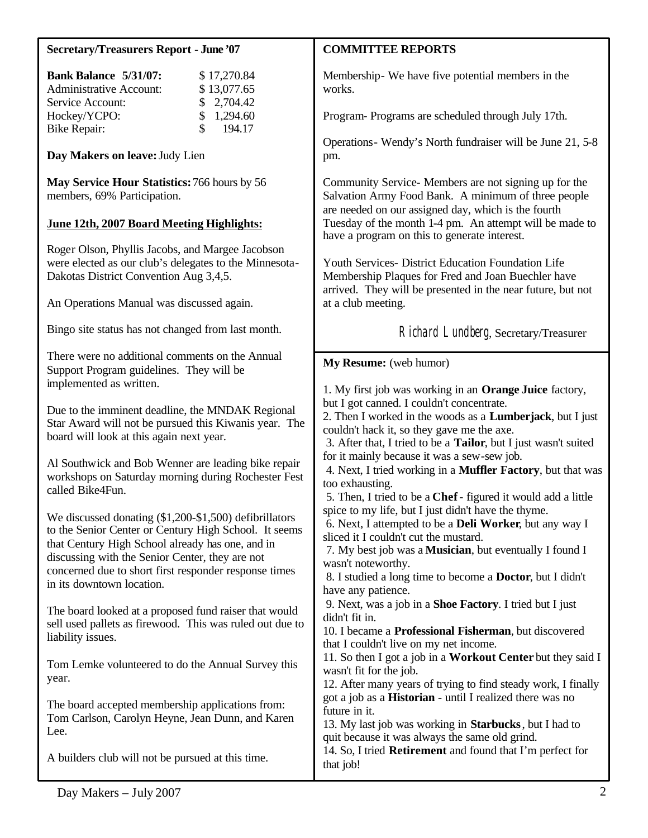| <b>Secretary/Treasurers Report - June '07</b>                                                                                                                                                                                                                                                                                                                                                                                                                                                                                                                                                                                                                                                                                                                                                                                                                               | <b>COMMITTEE REPORTS</b>                                                                                                                                                                                                                                                                                                                                                                                                                                                                                                                                                                                                                                                                                                                                                                                                                                                                                                                                                                                            |
|-----------------------------------------------------------------------------------------------------------------------------------------------------------------------------------------------------------------------------------------------------------------------------------------------------------------------------------------------------------------------------------------------------------------------------------------------------------------------------------------------------------------------------------------------------------------------------------------------------------------------------------------------------------------------------------------------------------------------------------------------------------------------------------------------------------------------------------------------------------------------------|---------------------------------------------------------------------------------------------------------------------------------------------------------------------------------------------------------------------------------------------------------------------------------------------------------------------------------------------------------------------------------------------------------------------------------------------------------------------------------------------------------------------------------------------------------------------------------------------------------------------------------------------------------------------------------------------------------------------------------------------------------------------------------------------------------------------------------------------------------------------------------------------------------------------------------------------------------------------------------------------------------------------|
| <b>Bank Balance 5/31/07:</b><br>\$17,270.84<br>\$13,077.65<br><b>Administrative Account:</b><br>2,704.42<br>Service Account:<br>\$                                                                                                                                                                                                                                                                                                                                                                                                                                                                                                                                                                                                                                                                                                                                          | Membership - We have five potential members in the<br>works.                                                                                                                                                                                                                                                                                                                                                                                                                                                                                                                                                                                                                                                                                                                                                                                                                                                                                                                                                        |
| Hockey/YCPO:<br>\$<br>1,294.60<br>\$<br>194.17                                                                                                                                                                                                                                                                                                                                                                                                                                                                                                                                                                                                                                                                                                                                                                                                                              | Program-Programs are scheduled through July 17th.                                                                                                                                                                                                                                                                                                                                                                                                                                                                                                                                                                                                                                                                                                                                                                                                                                                                                                                                                                   |
| <b>Bike Repair:</b><br>Day Makers on leave: Judy Lien                                                                                                                                                                                                                                                                                                                                                                                                                                                                                                                                                                                                                                                                                                                                                                                                                       | Operations - Wendy's North fundraiser will be June 21, 5-8<br>pm.                                                                                                                                                                                                                                                                                                                                                                                                                                                                                                                                                                                                                                                                                                                                                                                                                                                                                                                                                   |
| May Service Hour Statistics: 766 hours by 56<br>members, 69% Participation.<br>June 12th, 2007 Board Meeting Highlights:                                                                                                                                                                                                                                                                                                                                                                                                                                                                                                                                                                                                                                                                                                                                                    | Community Service- Members are not signing up for the<br>Salvation Army Food Bank. A minimum of three people<br>are needed on our assigned day, which is the fourth<br>Tuesday of the month 1-4 pm. An attempt will be made to                                                                                                                                                                                                                                                                                                                                                                                                                                                                                                                                                                                                                                                                                                                                                                                      |
| Roger Olson, Phyllis Jacobs, and Margee Jacobson<br>were elected as our club's delegates to the Minnesota-<br>Dakotas District Convention Aug 3,4,5.<br>An Operations Manual was discussed again.                                                                                                                                                                                                                                                                                                                                                                                                                                                                                                                                                                                                                                                                           | have a program on this to generate interest.<br>Youth Services- District Education Foundation Life<br>Membership Plaques for Fred and Joan Buechler have<br>arrived. They will be presented in the near future, but not<br>at a club meeting.                                                                                                                                                                                                                                                                                                                                                                                                                                                                                                                                                                                                                                                                                                                                                                       |
| Bingo site status has not changed from last month.                                                                                                                                                                                                                                                                                                                                                                                                                                                                                                                                                                                                                                                                                                                                                                                                                          | Richard Lundberg, Secretary/Treasurer                                                                                                                                                                                                                                                                                                                                                                                                                                                                                                                                                                                                                                                                                                                                                                                                                                                                                                                                                                               |
| There were no additional comments on the Annual<br>Support Program guidelines. They will be<br>implemented as written.<br>Due to the imminent deadline, the MNDAK Regional<br>Star Award will not be pursued this Kiwanis year. The<br>board will look at this again next year.<br>Al Southwick and Bob Wenner are leading bike repair<br>workshops on Saturday morning during Rochester Fest<br>called Bike4Fun.<br>We discussed donating (\$1,200-\$1,500) defibrillators<br>to the Senior Center or Century High School. It seems<br>that Century High School already has one, and in<br>discussing with the Senior Center, they are not<br>concerned due to short first responder response times<br>in its downtown location.<br>The board looked at a proposed fund raiser that would<br>sell used pallets as firewood. This was ruled out due to<br>liability issues. | My Resume: (web humor)<br>1. My first job was working in an <b>Orange Juice</b> factory,<br>but I got canned. I couldn't concentrate.<br>2. Then I worked in the woods as a <b>Lumberjack</b> , but I just<br>couldn't hack it, so they gave me the axe.<br>3. After that, I tried to be a Tailor, but I just wasn't suited<br>for it mainly because it was a sew-sew job.<br>4. Next, I tried working in a Muffler Factory, but that was<br>too exhausting.<br>5. Then, I tried to be a Chef - figured it would add a little<br>spice to my life, but I just didn't have the thyme.<br>6. Next, I attempted to be a <b>Deli Worker</b> , but any way I<br>sliced it I couldn't cut the mustard.<br>7. My best job was a <b>Musician</b> , but eventually I found I<br>wasn't noteworthy.<br>8. I studied a long time to become a Doctor, but I didn't<br>have any patience.<br>9. Next, was a job in a Shoe Factory. I tried but I just<br>didn't fit in.<br>10. I became a Professional Fisherman, but discovered |
| Tom Lemke volunteered to do the Annual Survey this<br>year.<br>The board accepted membership applications from:<br>Tom Carlson, Carolyn Heyne, Jean Dunn, and Karen<br>Lee.<br>A builders club will not be pursued at this time.                                                                                                                                                                                                                                                                                                                                                                                                                                                                                                                                                                                                                                            | that I couldn't live on my net income.<br>11. So then I got a job in a Workout Center but they said I<br>wasn't fit for the job.<br>12. After many years of trying to find steady work, I finally<br>got a job as a <b>Historian</b> - until I realized there was no<br>future in it.<br>13. My last job was working in Starbucks, but I had to<br>quit because it was always the same old grind.<br>14. So, I tried <b>Retirement</b> and found that I'm perfect for<br>that job!                                                                                                                                                                                                                                                                                                                                                                                                                                                                                                                                  |